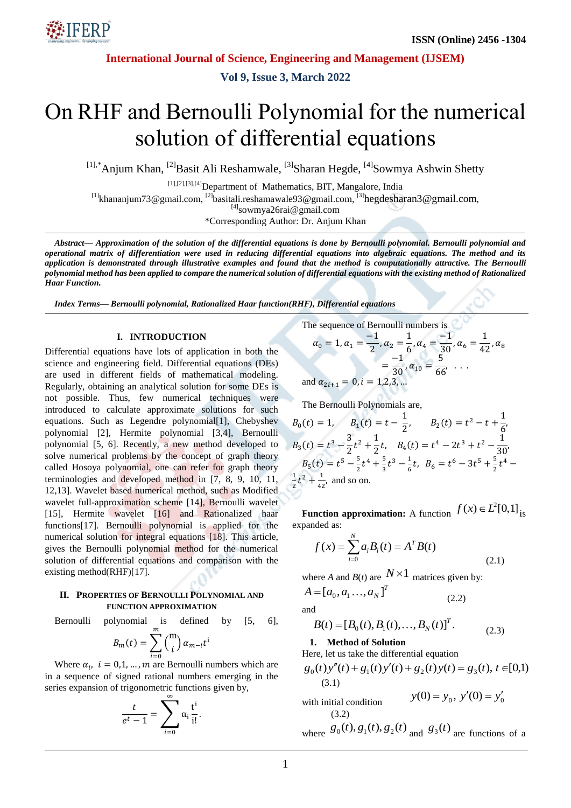

**International Journal of Science, Engineering and Management (IJSEM)**

**Vol 9, Issue 3, March 2022**

# On RHF and Bernoulli Polynomial for the numerical solution of differential equations

<sup>[1],\*</sup>Anjum Khan, <sup>[2]</sup>Basit Ali Reshamwale, <sup>[3]</sup>Sharan Hegde, <sup>[4]</sup>Sowmya Ashwin Shetty

[1],[2],[3],[4]Department of Mathematics, BIT, Mangalore, India

<sup>[1]</sup>[khananjum73@gmail.com,](mailto:khananjum73@gmail.com) <sup>[2]</sup>basitali.reshamawale93@gmail.com, <sup>[3]</sup>[hegdesharan3@gmail.com](mailto:hegdesharan3@gmail.com),

 $[4]$ [sowmya26rai@gmail.com](mailto:sowmya26rai@gmail.com)

\*Corresponding Author: Dr. Anjum Khan

*Abstract— Approximation of the solution of the differential equations is done by Bernoulli polynomial. Bernoulli polynomial and operational matrix of differentiation were used in reducing differential equations into algebraic equations. The method and its application is demonstrated through illustrative examples and found that the method is computationally attractive. The Bernoulli polynomial method has been applied to compare the numerical solution of differential equations with the existing method of Rationalized Haar Function.*

*Index Terms— Bernoulli polynomial, Rationalized Haar function(RHF), Differential equations*

#### **I. INTRODUCTION**

Differential equations have lots of application in both the science and engineering field. Differential equations (DEs) are used in different fields of mathematical modeling. Regularly, obtaining an analytical solution for some DEs is not possible. Thus, few numerical techniques were introduced to calculate approximate solutions for such equations. Such as Legendre polynomial[1], Chebyshev polynomial [2], Hermite polynomial [3,4], Bernoulli polynomial [5, 6]. Recently, a new method developed to solve numerical problems by the concept of graph theory called Hosoya polynomial, one can refer for graph theory terminologies and developed method in [7, 8, 9, 10, 11, 12,13]. Wavelet based numerical method, such as Modified wavelet full-approximation scheme [14], Bernoulli wavelet [15], Hermite wavelet [16] and Rationalized haar functions[17]. Bernoulli polynomial is applied for the numerical solution for integral equations [18]. This article, gives the Bernoulli polynomial method for the numerical solution of differential equations and comparison with the existing method(RHF)[17].

### **II. PROPERTIES OF BERNOULLI POLYNOMIAL AND FUNCTION APPROXIMATION**

Bernoulli polynomial is defined by [5, 6],

$$
B_m(t) = \sum_{i=0}^m \binom{m}{i} \alpha_{m-i} t^i
$$

Where  $\alpha_i$ ,  $i = 0, 1, ..., m$  are Bernoulli numbers which are in a sequence of signed rational numbers emerging in the series expansion of trigonometric functions given by,

$$
\frac{t}{e^t - 1} = \sum_{i=0}^{\infty} \alpha_i \frac{t^i}{i!}
$$

.

The sequence of Bernoulli numbers is

$$
\alpha_0 = 1, \alpha_1 = \frac{-1}{2}, \alpha_2 = \frac{1}{6}, \alpha_4 = \frac{-1}{30}, \alpha_6 = \frac{1}{42}, \alpha_8
$$

$$
= \frac{-1}{30}, \alpha_{10} = \frac{5}{66}, \dots
$$
and  $\alpha_{2i+1} = 0, i = 1, 2, 3, \dots$ 

The Bernoulli Polynomials are,

$$
B_0(t) = 1, \t B_1(t) = t - \frac{1}{2}, \t B_2(t) = t^2 - t + \frac{1}{6},
$$
  
\n
$$
B_3(t) = t^3 - \frac{3}{2}t^2 + \frac{1}{2}t, \t B_4(t) = t^4 - 2t^3 + t^2 - \frac{1}{30},
$$
  
\n
$$
B_5(t) = t^5 - \frac{5}{2}t^4 + \frac{5}{3}t^3 - \frac{1}{6}t, \t B_6 = t^6 - 3t^5 + \frac{5}{2}t^4 - \frac{1}{2}t^2 + \frac{1}{42},
$$
 and so on.

**Function approximation:** A function  $f(x) \in L^2[0,1]$  is expanded as:

$$
f(x) = \sum_{i=0}^{N} a_i B_i(t) = A^T B(t)
$$
\n(2.1)

where *A* and *B*(*t*) are  $N \times 1$  matrices given by:

 $A = [a_0, a_1, \ldots, a_N]^T$ (2.2)

and

$$
B(t) = [B_0(t), B_1(t), \dots, B_N(t)]^T.
$$
 (2.3)

# **1. Method of Solution**

Here, let us take the differential equation

$$
g_0(t)y''(t) + g_1(t)y'(t) + g_2(t)y(t) = g_3(t), t \in [0,1)
$$
  
(3.1)

with initial condition  $y(0) = y_0, y'(0) = y'_0$ (3.2)

where 
$$
\mathcal{S}_0(t)
$$
,  $\mathcal{S}_1(t)$ ,  $\mathcal{S}_2(t)$  and  $\mathcal{S}_3(t)$  are functions of a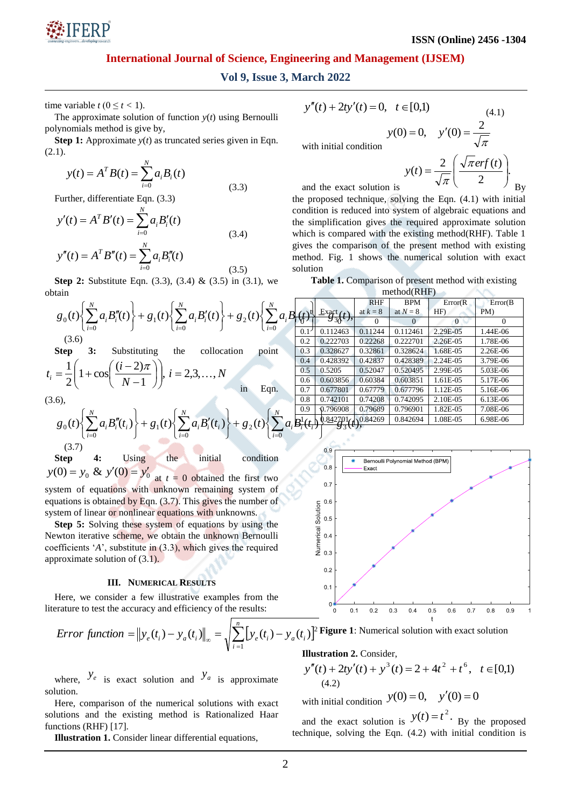

# **International Journal of Science, Engineering and Management (IJSEM)**

# **Vol 9, Issue 3, March 2022**

time variable  $t (0 \le t < 1)$ .

The approximate solution of function *y*(*t*) using Bernoulli polynomials method is give by,

**Step 1:** Approximate  $y(t)$  as truncated series given in Eqn.  $(2.1).$ 

$$
y(t) = A^T B(t) = \sum_{i=0}^{N} a_i B_i(t)
$$
\n(3.3)

Further, differentiate Eqn. (3.3)

$$
y'(t) = A^T B'(t) = \sum_{i=0}^{N} a_i B'_i(t)
$$
  
\n
$$
y''(t) = A^T B''(t) = \sum_{i=0}^{N} a_i B''_i(t)
$$
\n(3.4)

**Step 2:** Substitute Eqn. (3.3), (3.4) & (3.5) in (3.1), we obtain

$$
g_0(t)\left\{\sum_{i=0}^N a_i B''_i(t)\right\} + g_1(t)\left\{\sum_{i=0}^N a_i B'_i(t)\right\} + g_2(t)\left\{\sum_{i=0}^N a_i B'_i\left(\frac{t}{1-\delta}\right) \frac{\text{Exart}}{330(t)},\right\}_{(0.1)}
$$

**Step 3:** Substituting the collocation point  $i = 2, 3, ..., N$ *N*  $t_i = \frac{1}{2} \left( 1 + \cos \left( \frac{(i-2)\pi}{l} \right) \right), i = 2,3,...,$ 1  $1 + \cos \left( \frac{(i-2)}{2} \right)$ 2 1  $\bigg|, i = 2, 3, \ldots$  $\bigg)$  $\setminus$  $\overline{\phantom{a}}$  $\setminus$ ſ  $\overline{\phantom{a}}$  $\bigg)$  $\left(\frac{(i-2)\pi}{n} \right)$  $\setminus$ ſ  $\overline{a}$  $=\frac{1}{2}\left(1+\cos\left(\frac{(i-2)\pi}{\pi}\right)\right)$ in Eqn.

(3.6),

$$
g_0(t)\left\{\sum_{i=0}^N a_i B_i''(t_i)\right\} + g_1(t)\left\{\sum_{i=0}^N a_i B_i'(t_i)\right\} + g_2(t)\left\{\sum_{i=0}^N a_i \frac{B_i^1(t_i) \sqrt{36908}}{B_i^1(t_i)^2}\right\} + g_3(t)\left\{\sum_{i=0}^N a_i B_i(t_i) \sqrt{36908}\right\}
$$
\n(3.7)

**Step 4:** Using the initial condition  $y(0) = y_0 \& y'(0) = y'_0$  at  $t = 0$  obtained the first two

system of equations with unknown remaining system of equations is obtained by Eqn. (3.7). This gives the number of system of linear or nonlinear equations with unknowns.

**Step 5:** Solving these system of equations by using the Newton iterative scheme, we obtain the unknown Bernoulli coefficients '*A*', substitute in (3.3), which gives the required approximate solution of (3.1).

#### **III. NUMERICAL RESULTS**

Here, we consider a few illustrative examples from the literature to test the accuracy and efficiency of the results:

$$
Error function = ||y_e(t_i) - y_a(t_i)||_{\infty} = \sqrt{\sum_{i=1}^{n} [y_e(t_i) - y_a(t_i)]}
$$

where,  $y_e$  is exact solution and  $y_a$  is approximate solution.

Here, comparison of the numerical solutions with exact solutions and the existing method is Rationalized Haar functions (RHF) [17].

**Illustration 1.** Consider linear differential equations,

$$
y''(t) + 2ty'(t) = 0, \quad t \in [0,1)
$$
\n(4.1)

with initial condition  $y(0) = 0$ ,  $y'(0) = \frac{2}{\sqrt{2}}$ 

$$
y(t) = \frac{2}{\sqrt{\pi}} \left( \frac{\sqrt{\pi} erf(t)}{2} \right).
$$
  
and the exact solution is

π

the proposed technique, solving the Eqn. (4.1) with initial condition is reduced into system of algebraic equations and the simplification gives the required approximate solution which is compared with the existing method(RHF). Table 1 gives the comparison of the present method with existing method. Fig. 1 shows the numerical solution with exact solution

**Table 1.** Comparison of present method with existing method(RHF)

|                          |                         |                                           | <b>RHF</b> | <b>BPM</b> | Error(R) | Error(B)   |  |  |
|--------------------------|-------------------------|-------------------------------------------|------------|------------|----------|------------|--|--|
|                          | $\omega^{\mathfrak{t}}$ | $\frac{\text{Exact}(t)}{\text{Exact}(t)}$ | at $k=8$   | at $N = 8$ | HF)      | PM)        |  |  |
|                          | $\sqrt{2}$              | $\delta$ <sub>3</sub> $\delta$ ,          | 0          | $\Omega$   | $\Omega$ | $\Omega$   |  |  |
|                          | $0.1^{\circ}$           | 0.112463                                  | 0.11244    | 0.112461   | 2.29E-05 | 1.44E-06   |  |  |
|                          | 0.2                     | 0.222703                                  | 0.22268    | 0.222701   | 2.26E-05 | 1.78E-06   |  |  |
|                          | 0.3                     | 0.328627                                  | 0.32861    | 0.328624   | 1.68E-05 | $2.26E-06$ |  |  |
|                          | 0.4                     | 0.428392                                  | 0.42837    | 0.428389   | 2.24E-05 | 3.79E-06   |  |  |
|                          | 0.5                     | 0.5205                                    | 0.52047    | 0.520495   | 2.99E-05 | 5.03E-06   |  |  |
|                          | $0.6^{\circ}$           | 0.603856                                  | 0.60384    | 0.603851   | 1.61E-05 | 5.17E-06   |  |  |
|                          | 0.7                     | 0.677801                                  | 0.67779    | 0.677796   | 1.12E-05 | 5.16E-06   |  |  |
|                          | 0.8                     | 0.742101                                  | 0.74208    | 0.742095   | 2.10E-05 | $6.13E-06$ |  |  |
|                          | 0.9                     | 0.796908                                  | 0.79689    | 0.796901   | 1.82E-05 | 7.08E-06   |  |  |
|                          |                         | .842701                                   | 0.84269    | 0.842694   | 1.08E-05 | 6.98E-06   |  |  |
| $\delta$ 3 ( $\prime$ ), |                         |                                           |            |            |          |            |  |  |



 $\sum [y_e(t_i) - y_a(t_i)]^2$  **Figure 1**: Numerical solution with exact solution

#### **Illustration 2.** Consider,

$$
y''(t) + 2ty'(t) + y^3(t) = 2 + 4t^2 + t^6, \quad t \in [0,1)
$$
  
(4.2)

with initial condition  $y(0) = 0$ ,  $y'(0) = 0$ 

and the exact solution is  $y(t) = t^2$ . By the proposed technique, solving the Eqn. (4.2) with initial condition is